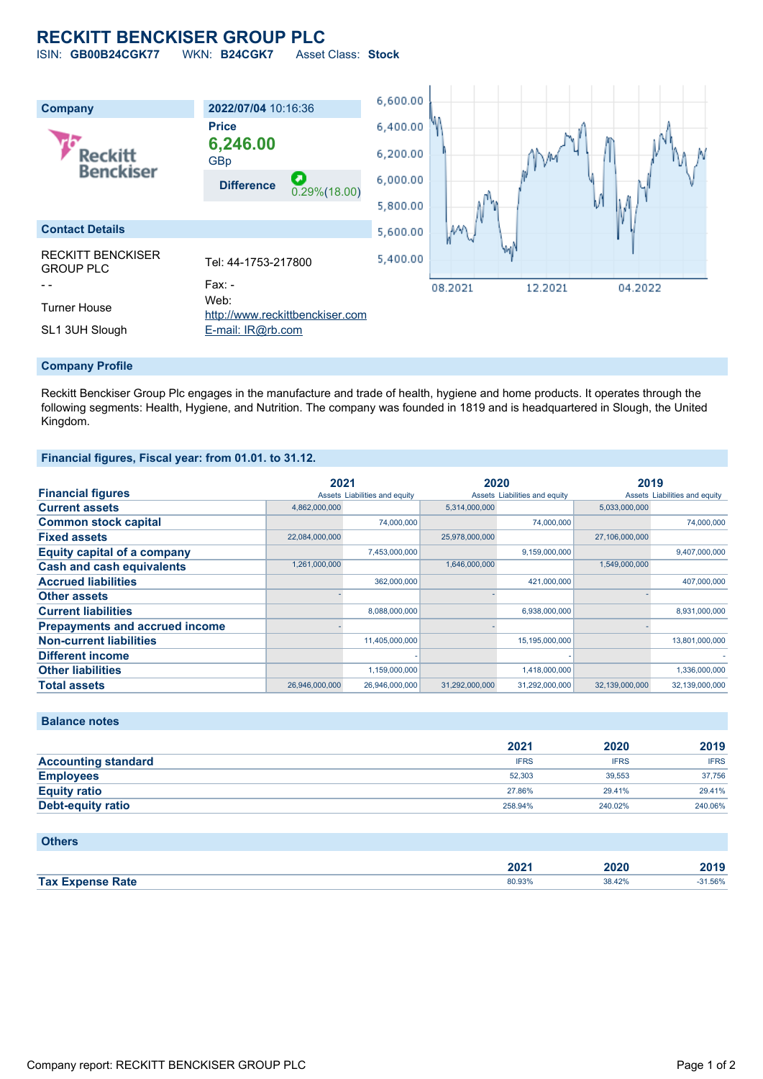# **RECKITT BENCKISER GROUP PLC**

ISIN: **GB00B24CGK77** WKN: **B24CGK7** Asset Class: **Stock**



#### **Company Profile**

Reckitt Benckiser Group Plc engages in the manufacture and trade of health, hygiene and home products. It operates through the following segments: Health, Hygiene, and Nutrition. The company was founded in 1819 and is headquartered in Slough, the United Kingdom.

### **Financial figures, Fiscal year: from 01.01. to 31.12.**

|                                       | 2021           |                               | 2020           |                               | 2019           |                               |
|---------------------------------------|----------------|-------------------------------|----------------|-------------------------------|----------------|-------------------------------|
| <b>Financial figures</b>              |                | Assets Liabilities and equity |                | Assets Liabilities and equity |                | Assets Liabilities and equity |
| <b>Current assets</b>                 | 4,862,000,000  |                               | 5,314,000,000  |                               | 5,033,000,000  |                               |
| <b>Common stock capital</b>           |                | 74,000,000                    |                | 74,000,000                    |                | 74.000.000                    |
| <b>Fixed assets</b>                   | 22,084,000,000 |                               | 25,978,000,000 |                               | 27,106,000,000 |                               |
| <b>Equity capital of a company</b>    |                | 7,453,000,000                 |                | 9,159,000,000                 |                | 9,407,000,000                 |
| <b>Cash and cash equivalents</b>      | 1,261,000,000  |                               | 1,646,000,000  |                               | 1,549,000,000  |                               |
| <b>Accrued liabilities</b>            |                | 362,000,000                   |                | 421,000,000                   |                | 407,000,000                   |
| <b>Other assets</b>                   |                |                               |                |                               |                |                               |
| <b>Current liabilities</b>            |                | 8,088,000,000                 |                | 6,938,000,000                 |                | 8,931,000,000                 |
| <b>Prepayments and accrued income</b> |                |                               |                |                               |                |                               |
| <b>Non-current liabilities</b>        |                | 11,405,000,000                |                | 15,195,000,000                |                | 13,801,000,000                |
| <b>Different income</b>               |                |                               |                |                               |                |                               |
| <b>Other liabilities</b>              |                | 1,159,000,000                 |                | 1,418,000,000                 |                | 1,336,000,000                 |
| <b>Total assets</b>                   | 26,946,000,000 | 26,946,000,000                | 31,292,000,000 | 31,292,000,000                | 32.139.000.000 | 32,139,000,000                |

## **Balance notes**

|                            | 2021        | 2020        | 2019        |
|----------------------------|-------------|-------------|-------------|
| <b>Accounting standard</b> | <b>IFRS</b> | <b>IFRS</b> | <b>IFRS</b> |
| <b>Employees</b>           | 52.303      | 39.553      | 37,756      |
| <b>Equity ratio</b>        | 27.86%      | 29.41%      | 29.41%      |
| Debt-equity ratio          | 258.94%     | 240.02%     | 240.06%     |

#### **Others**

|                         | רחר<br>494 | 2020   | 1040 |
|-------------------------|------------|--------|------|
| <b>Tax Expense Rate</b> | 80.93%     | 38.42% | .56% |